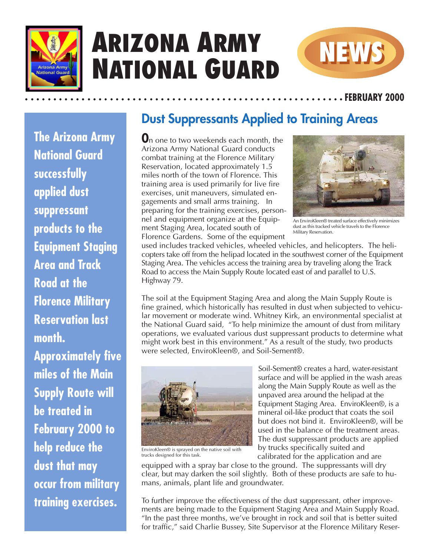

**The Arizona Army**

## **ARIZONA ARMY NATIONAL GUARD**



aaaaaaaaaaaaaaaaaaaaaaaaaaaaaaa aaaaaaaaaaaaaaaaaaaaaaaaaa **FEBRUARY 2000**

## **Dust Suppressants Applied to Training Areas**

**O**n one to two weekends each month, the Arizona Army National Guard conducts combat training at the Florence Military Reservation, located approximately 1.5 miles north of the town of Florence. This training area is used primarily for live fire exercises, unit maneuvers, simulated engagements and small arms training. In preparing for the training exercises, personnel and equipment organize at the Equipment Staging Area, located south of Florence Gardens. Some of the equipment



An EnviroKleen® treated surface effectively minimizes dust as this tracked vehicle travels to the Florence Military Reservation.

used includes tracked vehicles, wheeled vehicles, and helicopters. The helicopters take off from the helipad located in the southwest corner of the Equipment Staging Area. The vehicles access the training area by traveling along the Track Road to access the Main Supply Route located east of and parallel to U.S. Highway 79.

The soil at the Equipment Staging Area and along the Main Supply Route is fine grained, which historically has resulted in dust when subjected to vehicular movement or moderate wind. Whitney Kirk, an environmental specialist at the National Guard said, "To help minimize the amount of dust from military operations, we evaluated various dust suppressant products to determine what might work best in this environment." As a result of the study, two products were selected, EnviroKleen®, and Soil-Sement®.



Soil-Sement® creates a hard, water-resistant surface and will be applied in the wash areas along the Main Supply Route as well as the unpaved area around the helipad at the Equipment Staging Area. EnviroKleen<sup>®</sup>, is a mineral oil-like product that coats the soil but does not bind it. EnviroKleen®, will be used in the balance of the treatment areas. The dust suppressant products are applied by trucks specifically suited and calibrated for the application and are

EnviroKleen® is sprayed on the native soil with trucks designed for this task.

equipped with a spray bar close to the ground. The suppressants will dry clear, but may darken the soil slightly. Both of these products are safe to humans, animals, plant life and groundwater.

To further improve the effectiveness of the dust suppressant, other improvements are being made to the Equipment Staging Area and Main Supply Road. "In the past three months, we've brought in rock and soil that is better suited for traffic," said Charlie Bussey, Site Supervisor at the Florence Military Reser-

**National Guard successfully applied dust suppressant products to the Equipment Staging Area and Track Road at the Florence Military Reservation last month. Approximately five miles of the Main Supply Route will be treated in February 2000 to help reduce the dust that may occur from military training exercises.**